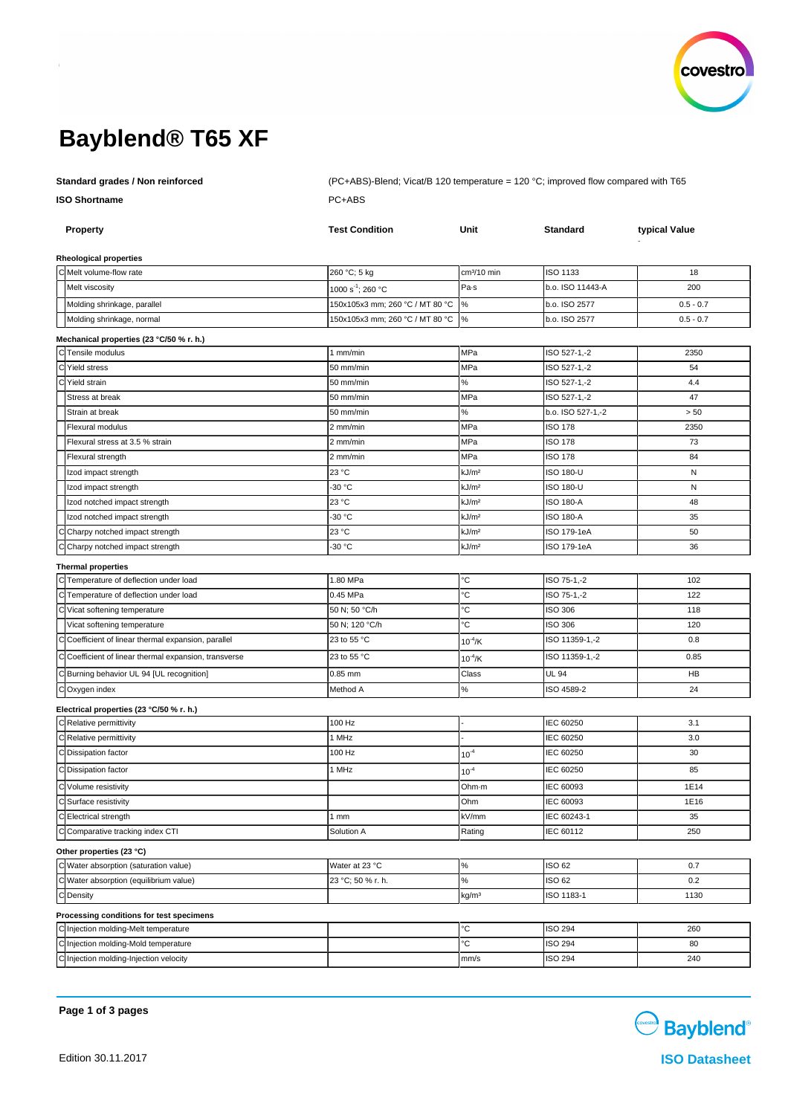

# **Bayblend® T65 XF**

**ISO Shortname** PC+ABS

**Standard grades / Non reinforced** (PC+ABS)-Blend; Vicat/B 120 temperature = 120 °C; improved flow compared with T65

|     | <b>Property</b>                                     | <b>Test Condition</b>           | Unit                    | <b>Standard</b>    | typical Value |
|-----|-----------------------------------------------------|---------------------------------|-------------------------|--------------------|---------------|
|     | Rheological properties                              |                                 |                         |                    |               |
|     | C Melt volume-flow rate                             | 260 °C; 5 kg                    | cm <sup>3</sup> /10 min | ISO 1133           | 18            |
|     | Melt viscosity                                      | 1000 s <sup>-1</sup> ; 260 °C   | Pa-s                    | b.o. ISO 11443-A   | 200           |
|     | Molding shrinkage, parallel                         | 150x105x3 mm; 260 °C / MT 80 °C | $\%$                    | b.o. ISO 2577      | $0.5 - 0.7$   |
|     | Molding shrinkage, normal                           | 150x105x3 mm; 260 °C / MT 80 °C | $\%$                    | b.o. ISO 2577      | $0.5 - 0.7$   |
|     | Mechanical properties (23 °C/50 % r. h.)            |                                 |                         |                    |               |
| lcl | Tensile modulus                                     | 1 mm/min                        | MPa                     | ISO 527-1,-2       | 2350          |
|     | Yield stress                                        | 50 mm/min                       | MPa                     | ISO 527-1,-2       | 54            |
|     | Yield strain                                        | 50 mm/min                       | $\%$                    | ISO 527-1,-2       | 4.4           |
|     | Stress at break                                     | 50 mm/min                       | MPa                     | ISO 527-1,-2       | 47            |
|     | Strain at break                                     | 50 mm/min                       | $\%$                    | b.o. ISO 527-1,-2  | > 50          |
|     | Flexural modulus                                    | 2 mm/min                        | MPa                     | <b>ISO 178</b>     | 2350          |
|     | Flexural stress at 3.5 % strain                     | 2 mm/min                        | MPa                     | ISO 178            | 73            |
|     | Flexural strength                                   | 2 mm/min                        | MPa                     | ISO 178            | 84            |
|     | Izod impact strength                                | 23 °C                           | kJ/m <sup>2</sup>       | ISO 180-U          | N             |
|     | Izod impact strength                                | -30 °C                          | kJ/m <sup>2</sup>       | <b>ISO 180-U</b>   | ${\sf N}$     |
|     | Izod notched impact strength                        | 23 °C                           | kJ/m <sup>2</sup>       | ISO 180-A          | 48            |
|     | Izod notched impact strength                        | -30 °C                          | kJ/m <sup>2</sup>       | <b>ISO 180-A</b>   | 35            |
|     | C Charpy notched impact strength                    | 23 °C                           | kJ/m <sup>2</sup>       | ISO 179-1eA        | 50            |
|     | Charpy notched impact strength                      | -30 °C                          | kJ/m <sup>2</sup>       | <b>ISO 179-1eA</b> | 36            |
|     | <b>Thermal properties</b>                           |                                 |                         |                    |               |
|     | C Temperature of deflection under load              | 1.80 MPa                        | °C                      | ISO 75-1,-2        | 102           |
|     | Temperature of deflection under load                | 0.45 MPa                        | °C                      | ISO 75-1,-2        | 122           |
|     | C Vicat softening temperature                       | 50 N; 50 °C/h                   | °C                      | ISO 306            | 118           |
|     | Vicat softening temperature                         | 50 N; 120 °C/h                  | ℃                       | <b>ISO 306</b>     | 120           |
|     | Coefficient of linear thermal expansion, parallel   | 23 to 55 °C                     | $10^{-4}$ /K            | ISO 11359-1,-2     | 0.8           |
|     | Coefficient of linear thermal expansion, transverse | 23 to 55 °C                     | $10^{-4}$ /K            | ISO 11359-1,-2     | 0.85          |
|     | C Burning behavior UL 94 [UL recognition]           | 0.85 mm                         | Class                   | UL 94              | HB            |
|     | COxygen index                                       | Method A                        | $\%$                    | ISO 4589-2         | 24            |
|     | Electrical properties (23 °C/50 % r. h.)            |                                 |                         |                    |               |
|     | C Relative permittivity                             | 100 Hz                          |                         | IEC 60250          | 3.1           |
|     | C Relative permittivity                             | 1 MHz                           |                         | IEC 60250          | 3.0           |
|     | C Dissipation factor                                | 100 Hz                          | $10^{-4}$               | IEC 60250          | 30            |
|     | C Dissipation factor                                | 1 MHz                           | $10^{-4}$               | IEC 60250          | 85            |
|     | C Volume resistivity                                |                                 | Ohm-m                   | IEC 60093          | 1E14          |
|     | C Surface resistivity                               |                                 | Ohm                     | IEC 60093          | 1E16          |
|     | C Electrical strength                               | 1mm                             | kV/mm                   | IEC 60243-1        | 35            |
|     | C Comparative tracking index CTI                    | Solution A                      | Rating                  | IEC 60112          | 250           |
|     | Other properties (23 °C)                            |                                 |                         |                    |               |
|     | C Water absorption (saturation value)               | Water at 23 °C                  | $\%$                    | ISO 62             | 0.7           |
|     | C Water absorption (equilibrium value)              | 23 °C; 50 % r. h.               | $\%$                    | ISO 62             | 0.2           |
|     | CDensity                                            |                                 | kg/m <sup>3</sup>       | ISO 1183-1         | 1130          |
|     | Processing conditions for test specimens            |                                 |                         |                    |               |
|     | C Injection molding-Melt temperature                |                                 | ℃                       | <b>ISO 294</b>     | 260           |
|     | C Injection molding-Mold temperature                |                                 | °C                      | ISO 294            | 80            |
|     | C Injection molding-Injection velocity              |                                 | mm/s                    | ISO 294            | 240           |

**Page 1 of 3 pages**

**Bayblend**<sup>®</sup>

Edition 30.11.2017 **ISO Datasheet**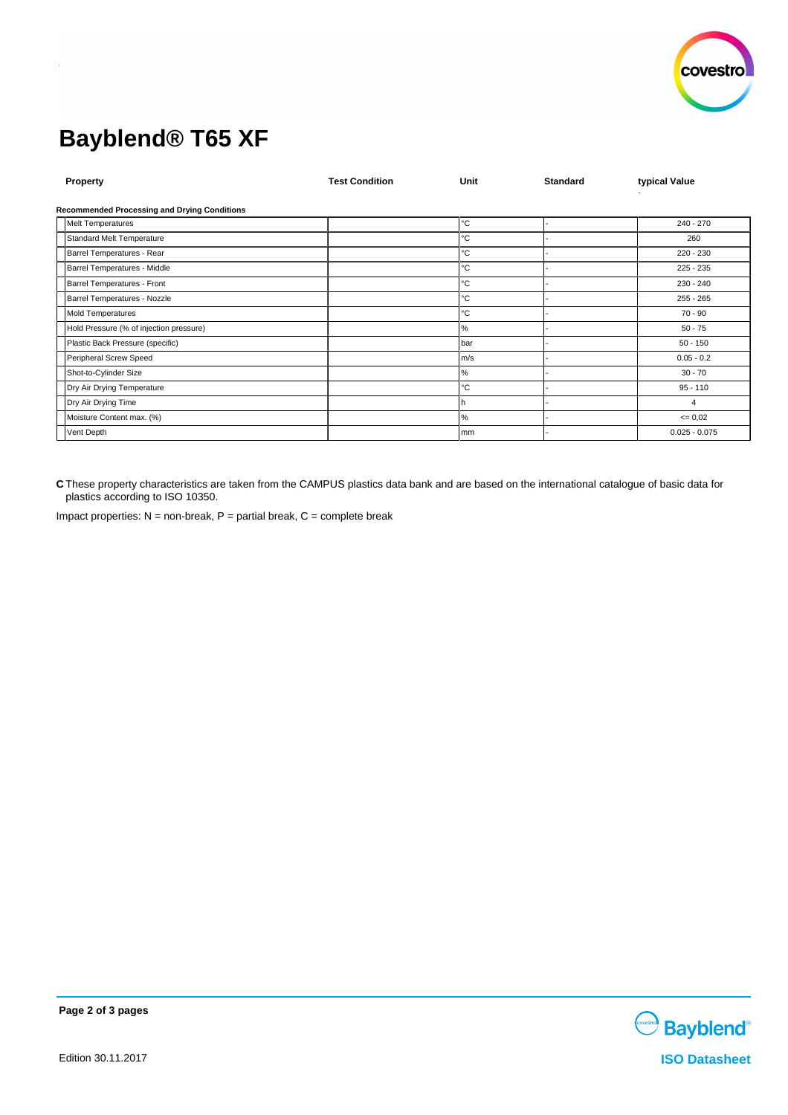

# **Bayblend® T65 XF**

| Property                                            | <b>Test Condition</b> | Unit         | <b>Standard</b> | typical Value   |  |  |  |  |
|-----------------------------------------------------|-----------------------|--------------|-----------------|-----------------|--|--|--|--|
| <b>Recommended Processing and Drying Conditions</b> |                       |              |                 |                 |  |  |  |  |
| <b>Melt Temperatures</b>                            |                       | °C           |                 | $240 - 270$     |  |  |  |  |
| Standard Melt Temperature                           |                       | °C           |                 | 260             |  |  |  |  |
| Barrel Temperatures - Rear                          |                       | °C           |                 | $220 - 230$     |  |  |  |  |
| Barrel Temperatures - Middle                        |                       | °C           |                 | $225 - 235$     |  |  |  |  |
| Barrel Temperatures - Front                         |                       | °C           |                 | 230 - 240       |  |  |  |  |
| Barrel Temperatures - Nozzle                        |                       | $^{\circ}$ C |                 | $255 - 265$     |  |  |  |  |
| Mold Temperatures                                   |                       | °C           |                 | $70 - 90$       |  |  |  |  |
| Hold Pressure (% of injection pressure)             |                       | %            |                 | $50 - 75$       |  |  |  |  |
| Plastic Back Pressure (specific)                    |                       | bar          |                 | $50 - 150$      |  |  |  |  |
| Peripheral Screw Speed                              |                       | m/s          |                 | $0.05 - 0.2$    |  |  |  |  |
| Shot-to-Cylinder Size                               |                       | $\%$         |                 | $30 - 70$       |  |  |  |  |
| Dry Air Drying Temperature                          |                       | °C           |                 | $95 - 110$      |  |  |  |  |
| Dry Air Drying Time                                 |                       | h.           |                 | $\overline{4}$  |  |  |  |  |
| Moisture Content max. (%)                           |                       | %            |                 | $\leq 0.02$     |  |  |  |  |
| Vent Depth                                          |                       | mm           |                 | $0.025 - 0.075$ |  |  |  |  |

**C** These property characteristics are taken from the CAMPUS plastics data bank and are based on the international catalogue of basic data for plastics according to ISO 10350.

Impact properties:  $N =$  non-break,  $P =$  partial break,  $C =$  complete break



**Page 2 of 3 pages**